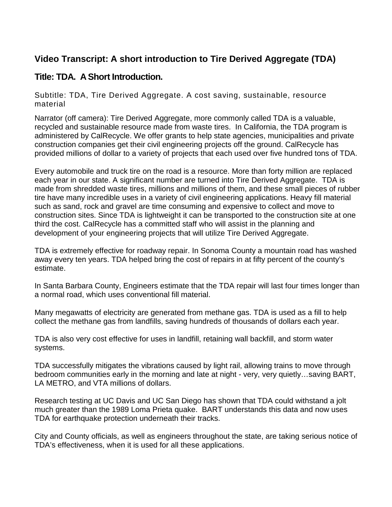## **Video Transcript: A short introduction to Tire Derived Aggregate (TDA)**

## **Title: TDA. A Short Introduction.**

Subtitle: TDA, Tire Derived Aggregate. A cost saving, sustainable, resource material

Narrator (off camera): Tire Derived Aggregate, more commonly called TDA is a valuable, recycled and sustainable resource made from waste tires. In California, the TDA program is administered by CalRecycle. We offer grants to help state agencies, municipalities and private construction companies get their civil engineering projects off the ground. CalRecycle has provided millions of dollar to a variety of projects that each used over five hundred tons of TDA.

Every automobile and truck tire on the road is a resource. More than forty million are replaced each year in our state. A significant number are turned into Tire Derived Aggregate. TDA is made from shredded waste tires, millions and millions of them, and these small pieces of rubber tire have many incredible uses in a variety of civil engineering applications. Heavy fill material such as sand, rock and gravel are time consuming and expensive to collect and move to construction sites. Since TDA is lightweight it can be transported to the construction site at one third the cost. CalRecycle has a committed staff who will assist in the planning and development of your engineering projects that will utilize Tire Derived Aggregate.

TDA is extremely effective for roadway repair. In Sonoma County a mountain road has washed away every ten years. TDA helped bring the cost of repairs in at fifty percent of the county's estimate.

In Santa Barbara County, Engineers estimate that the TDA repair will last four times longer than a normal road, which uses conventional fill material.

Many megawatts of electricity are generated from methane gas. TDA is used as a fill to help collect the methane gas from landfills, saving hundreds of thousands of dollars each year.

TDA is also very cost effective for uses in landfill, retaining wall backfill, and storm water systems.

TDA successfully mitigates the vibrations caused by light rail, allowing trains to move through bedroom communities early in the morning and late at night - very, very quietly…saving BART, LA METRO, and VTA millions of dollars.

Research testing at UC Davis and UC San Diego has shown that TDA could withstand a jolt much greater than the 1989 Loma Prieta quake. BART understands this data and now uses TDA for earthquake protection underneath their tracks.

City and County officials, as well as engineers throughout the state, are taking serious notice of TDA's effectiveness, when it is used for all these applications.